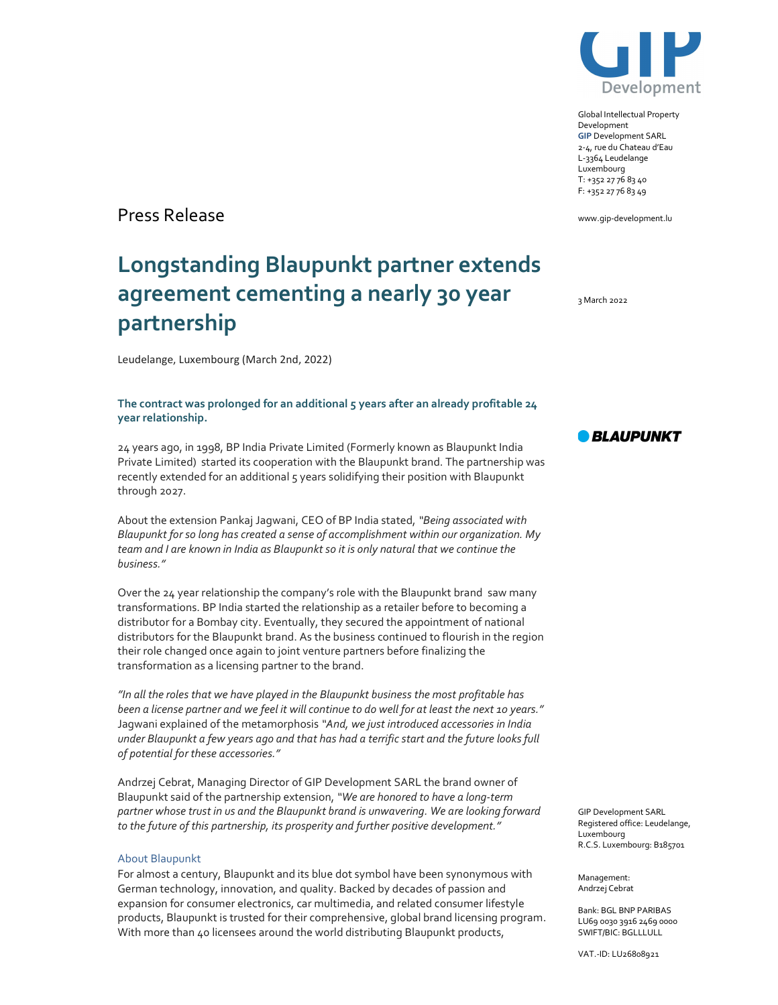

Global Intellectual Property Development GIP Development SARL 2-4, rue du Chateau d'Eau L-3364 Leudelange Luxembourg T: +352 27 76 83 40 F: +352 27 76 83 49

www.gip-development.lu

3 March 2022

Press Release

## Longstanding Blaupunkt partner extends agreement cementing a nearly 30 year partnership

Leudelange, Luxembourg (March 2nd, 2022)

## The contract was prolonged for an additional 5 years after an already profitable 24 year relationship.

24 years ago, in 1998, BP India Private Limited (Formerly known as Blaupunkt India Private Limited) started its cooperation with the Blaupunkt brand. The partnership was recently extended for an additional 5 years solidifying their position with Blaupunkt through 2027.

About the extension Pankaj Jagwani, CEO of BP India stated, "Being associated with Blaupunkt for so long has created a sense of accomplishment within our organization. My team and I are known in India as Blaupunkt so it is only natural that we continue the business."

Over the 24 year relationship the company's role with the Blaupunkt brand saw many transformations. BP India started the relationship as a retailer before to becoming a distributor for a Bombay city. Eventually, they secured the appointment of national distributors for the Blaupunkt brand. As the business continued to flourish in the region their role changed once again to joint venture partners before finalizing the transformation as a licensing partner to the brand.

"In all the roles that we have played in the Blaupunkt business the most profitable has been a license partner and we feel it will continue to do well for at least the next 10 years." Jagwani explained of the metamorphosis "And, we just introduced accessories in India under Blaupunkt a few years ago and that has had a terrific start and the future looks full of potential for these accessories."

Andrzej Cebrat, Managing Director of GIP Development SARL the brand owner of Blaupunkt said of the partnership extension, "We are honored to have a long-term partner whose trust in us and the Blaupunkt brand is unwavering. We are looking forward to the future of this partnership, its prosperity and further positive development."

## About Blaupunkt

For almost a century, Blaupunkt and its blue dot symbol have been synonymous with German technology, innovation, and quality. Backed by decades of passion and expansion for consumer electronics, car multimedia, and related consumer lifestyle products, Blaupunkt is trusted for their comprehensive, global brand licensing program. With more than 40 licensees around the world distributing Blaupunkt products,

*• BLAUPUNKT* 

GIP Development SARL Registered office: Leudelange, Luxembourg R.C.S. Luxembourg: B185701

Management: Andrzej Cebrat

Bank: BGL BNP PARIBAS LU69 0030 3916 2469 0000 SWIFT/BIC: BGLLLULL

VAT.-ID: LU26808921